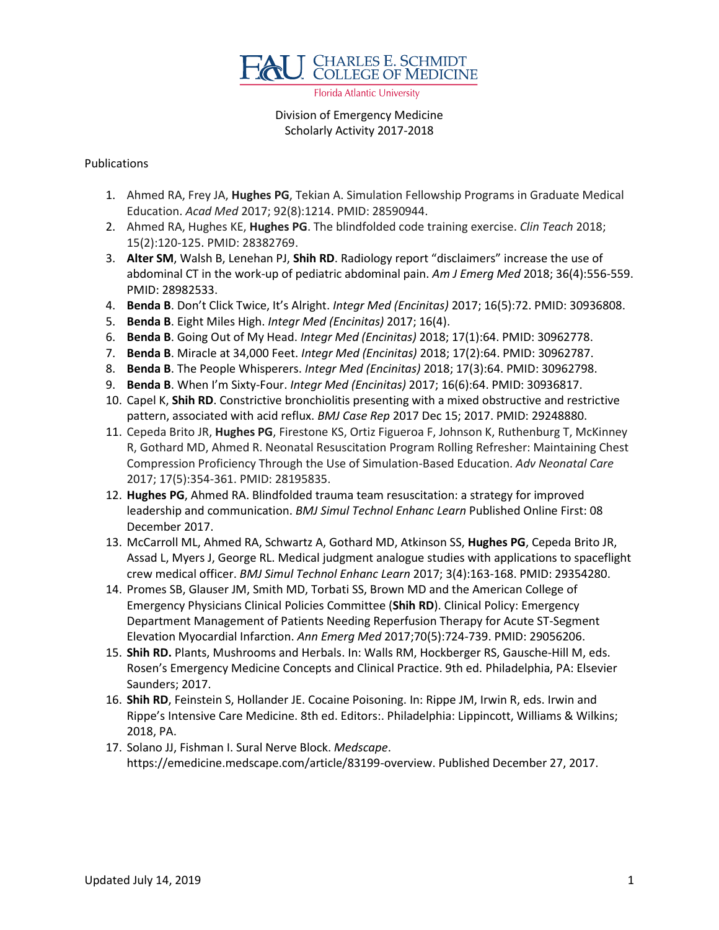

Florida Atlantic University

# Division of Emergency Medicine Scholarly Activity 2017-2018

#### Publications

- 1. Ahmed RA, Frey JA, **Hughes PG**, Tekian A. Simulation Fellowship Programs in Graduate Medical Education. *Acad Med* 2017; 92(8):1214. PMID: 28590944.
- 2. Ahmed RA, Hughes KE, **Hughes PG**. The blindfolded code training exercise. *Clin Teach* 2018; 15(2):120-125. PMID: 28382769.
- 3. **Alter SM**, Walsh B, Lenehan PJ, **Shih RD**. Radiology report "disclaimers" increase the use of abdominal CT in the work-up of pediatric abdominal pain. *Am J Emerg Med* 2018; 36(4):556-559. PMID: 28982533.
- 4. **Benda B**. Don't Click Twice, It's Alright. *Integr Med (Encinitas)* 2017; 16(5):72. PMID: 30936808.
- 5. **Benda B**. Eight Miles High. *Integr Med (Encinitas)* 2017; 16(4).
- 6. **Benda B**. Going Out of My Head. *Integr Med (Encinitas)* 2018; 17(1):64. PMID: 30962778.
- 7. **Benda B**. Miracle at 34,000 Feet. *Integr Med (Encinitas)* 2018; 17(2):64. PMID: 30962787.
- 8. **Benda B**. The People Whisperers. *Integr Med (Encinitas)* 2018; 17(3):64. PMID: 30962798.
- 9. **Benda B**. When I'm Sixty-Four. *Integr Med (Encinitas)* 2017; 16(6):64. PMID: 30936817.
- 10. Capel K, **Shih RD**. Constrictive bronchiolitis presenting with a mixed obstructive and restrictive pattern, associated with acid reflux. *BMJ Case Rep* 2017 Dec 15; 2017. PMID: 29248880.
- 11. Cepeda Brito JR, **Hughes PG**, Firestone KS, Ortiz Figueroa F, Johnson K, Ruthenburg T, McKinney R, Gothard MD, Ahmed R. Neonatal Resuscitation Program Rolling Refresher: Maintaining Chest Compression Proficiency Through the Use of Simulation-Based Education. *Adv Neonatal Care*  2017; 17(5):354-361. PMID: 28195835.
- 12. **Hughes PG**, Ahmed RA. Blindfolded trauma team resuscitation: a strategy for improved leadership and communication. *BMJ Simul Technol Enhanc Learn* Published Online First: 08 December 2017.
- 13. McCarroll ML, Ahmed RA, Schwartz A, Gothard MD, Atkinson SS, **Hughes PG**, Cepeda Brito JR, Assad L, Myers J, George RL. Medical judgment analogue studies with applications to spaceflight crew medical officer. *BMJ Simul Technol Enhanc Learn* 2017; 3(4):163-168. PMID: 29354280.
- 14. Promes SB, Glauser JM, Smith MD, Torbati SS, Brown MD and the American College of Emergency Physicians Clinical Policies Committee (**Shih RD**). Clinical Policy: Emergency Department Management of Patients Needing Reperfusion Therapy for Acute ST-Segment Elevation Myocardial Infarction. *Ann Emerg Med* 2017;70(5):724-739. PMID: 29056206.
- 15. **Shih RD.** Plants, Mushrooms and Herbals. In: Walls RM, Hockberger RS, Gausche-Hill M, eds. Rosen's Emergency Medicine Concepts and Clinical Practice. 9th ed. Philadelphia, PA: Elsevier Saunders; 2017.
- 16. **Shih RD**, Feinstein S, Hollander JE. Cocaine Poisoning. In: Rippe JM, Irwin R, eds. Irwin and Rippe's Intensive Care Medicine. 8th ed. Editors:. Philadelphia: Lippincott, Williams & Wilkins; 2018, PA.
- 17. Solano JJ, Fishman I. Sural Nerve Block. *Medscape*. https://emedicine.medscape.com/article/83199-overview. Published December 27, 2017.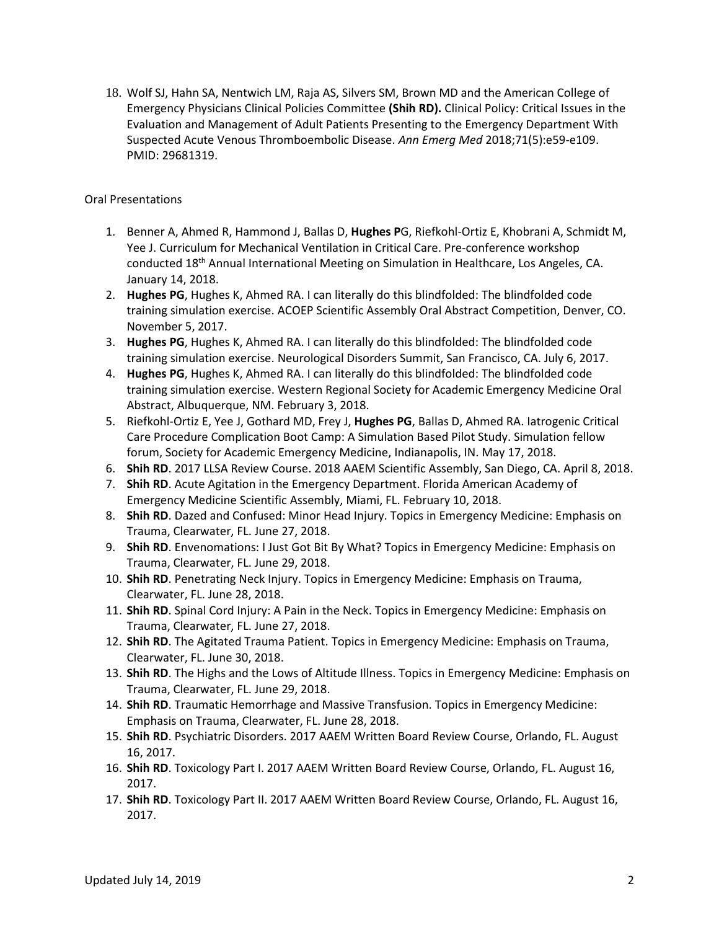18. Wolf SJ, Hahn SA, Nentwich LM, Raja AS, Silvers SM, Brown MD and the American College of Emergency Physicians Clinical Policies Committee **(Shih RD).** Clinical Policy: Critical Issues in the Evaluation and Management of Adult Patients Presenting to the Emergency Department With Suspected Acute Venous Thromboembolic Disease. *Ann Emerg Med* 2018;71(5):e59-e109. PMID: 29681319.

## Oral Presentations

- 1. Benner A, Ahmed R, Hammond J, Ballas D, **Hughes P**G, Riefkohl-Ortiz E, Khobrani A, Schmidt M, Yee J. Curriculum for Mechanical Ventilation in Critical Care. Pre-conference workshop conducted 18th Annual International Meeting on Simulation in Healthcare, Los Angeles, CA. January 14, 2018.
- 2. **Hughes PG**, Hughes K, Ahmed RA. I can literally do this blindfolded: The blindfolded code training simulation exercise. ACOEP Scientific Assembly Oral Abstract Competition, Denver, CO. November 5, 2017.
- 3. **Hughes PG**, Hughes K, Ahmed RA. I can literally do this blindfolded: The blindfolded code training simulation exercise. Neurological Disorders Summit, San Francisco, CA. July 6, 2017.
- 4. **Hughes PG**, Hughes K, Ahmed RA. I can literally do this blindfolded: The blindfolded code training simulation exercise. Western Regional Society for Academic Emergency Medicine Oral Abstract, Albuquerque, NM. February 3, 2018.
- 5. Riefkohl-Ortiz E, Yee J, Gothard MD, Frey J, **Hughes PG**, Ballas D, Ahmed RA. Iatrogenic Critical Care Procedure Complication Boot Camp: A Simulation Based Pilot Study. Simulation fellow forum, Society for Academic Emergency Medicine, Indianapolis, IN. May 17, 2018.
- 6. **Shih RD**. 2017 LLSA Review Course. 2018 AAEM Scientific Assembly, San Diego, CA. April 8, 2018.
- 7. **Shih RD**. Acute Agitation in the Emergency Department. Florida American Academy of Emergency Medicine Scientific Assembly, Miami, FL. February 10, 2018.
- 8. **Shih RD**. Dazed and Confused: Minor Head Injury. Topics in Emergency Medicine: Emphasis on Trauma, Clearwater, FL. June 27, 2018.
- 9. **Shih RD**. Envenomations: I Just Got Bit By What? Topics in Emergency Medicine: Emphasis on Trauma, Clearwater, FL. June 29, 2018.
- 10. **Shih RD**. Penetrating Neck Injury. Topics in Emergency Medicine: Emphasis on Trauma, Clearwater, FL. June 28, 2018.
- 11. **Shih RD**. Spinal Cord Injury: A Pain in the Neck. Topics in Emergency Medicine: Emphasis on Trauma, Clearwater, FL. June 27, 2018.
- 12. **Shih RD**. The Agitated Trauma Patient. Topics in Emergency Medicine: Emphasis on Trauma, Clearwater, FL. June 30, 2018.
- 13. **Shih RD**. The Highs and the Lows of Altitude Illness. Topics in Emergency Medicine: Emphasis on Trauma, Clearwater, FL. June 29, 2018.
- 14. **Shih RD**. Traumatic Hemorrhage and Massive Transfusion. Topics in Emergency Medicine: Emphasis on Trauma, Clearwater, FL. June 28, 2018.
- 15. **Shih RD**. Psychiatric Disorders. 2017 AAEM Written Board Review Course, Orlando, FL. August 16, 2017.
- 16. **Shih RD**. Toxicology Part I. 2017 AAEM Written Board Review Course, Orlando, FL. August 16, 2017.
- 17. **Shih RD**. Toxicology Part II. 2017 AAEM Written Board Review Course, Orlando, FL. August 16, 2017.